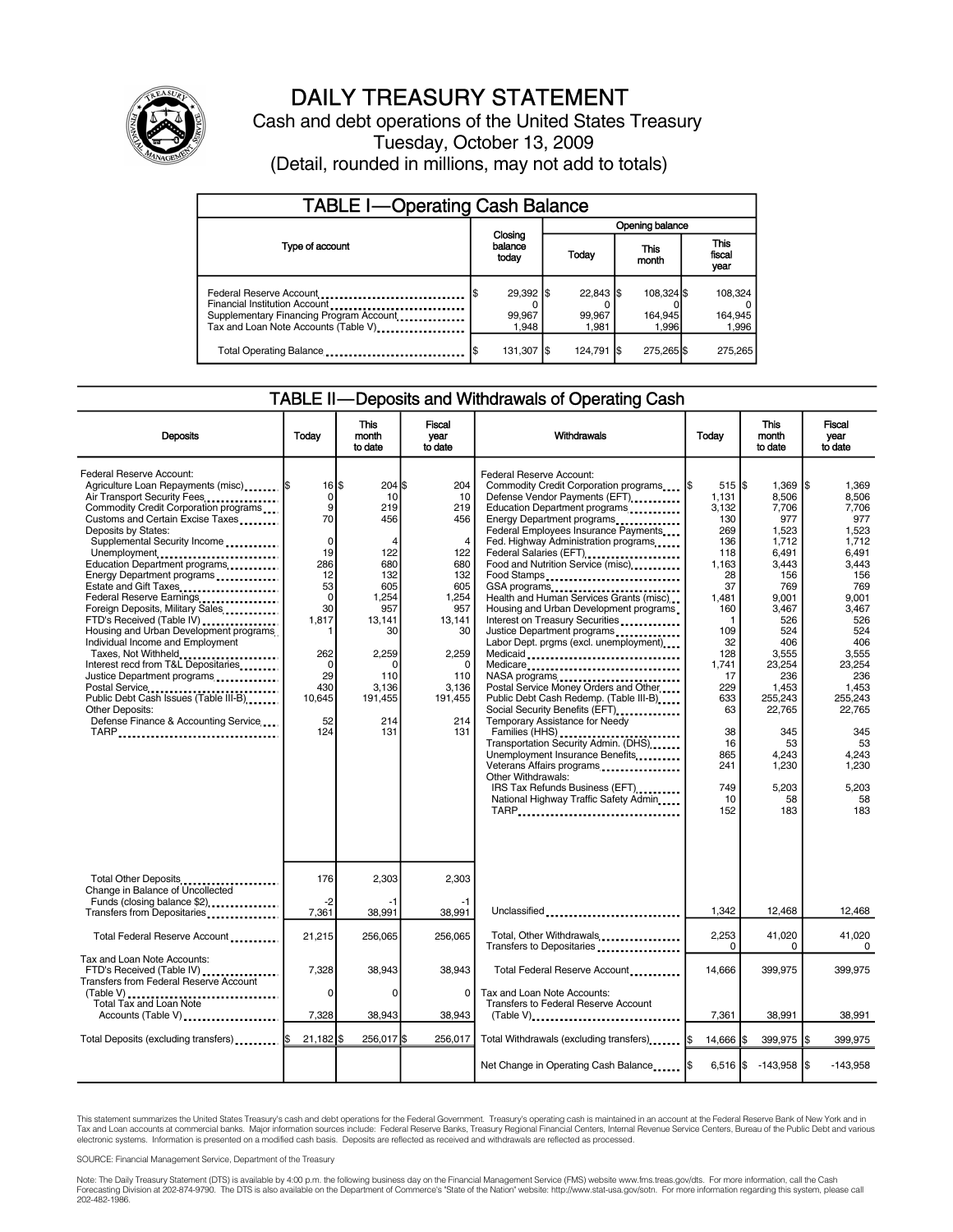

# DAILY TREASURY STATEMENT

Cash and debt operations of the United States Treasury Tuesday, October 13, 2009 (Detail, rounded in millions, may not add to totals)

| <b>TABLE I-Operating Cash Balance</b>                                                                                                       |                              |  |                                |  |                                |                               |                             |
|---------------------------------------------------------------------------------------------------------------------------------------------|------------------------------|--|--------------------------------|--|--------------------------------|-------------------------------|-----------------------------|
|                                                                                                                                             |                              |  | Opening balance                |  |                                |                               |                             |
| Type of account                                                                                                                             | Closing<br>balance<br>today  |  | This<br>Today<br>month         |  |                                | <b>This</b><br>fiscal<br>year |                             |
| Federal Reserve Account<br>Financial Institution Account<br>Supplementary Financing Program Account<br>Tax and Loan Note Accounts (Table V) | 29,392 \$<br>99,967<br>1.948 |  | $22,843$ \$<br>99.967<br>1.981 |  | 108.324 \$<br>164,945<br>1.996 |                               | 108,324<br>164,945<br>1,996 |
| Total Operating Balance                                                                                                                     | 131,307   \$                 |  | 124,791 \$                     |  | 275,265 \$                     |                               | 275,265                     |

### TABLE II—Deposits and Withdrawals of Operating Cash

| <b>Deposits</b>                                                                                                                                                                                                                                                                                                                                                                                                                                                                                                                                                                                                                                                                                                                                     | Today                                                                                                                                                                       | <b>This</b><br>month<br>to date                                                                                                                            | <b>Fiscal</b><br>vear<br>to date                                                                                                                                    | Withdrawals                                                                                                                                                                                                                                                                                                                                                                                                                                                                                                                                                                                                                                                                                                                                                                                                                                                                                                                                                            | Today                                                                                                                                                                                                             | <b>This</b><br>month<br>to date                                                                                                                                                                                                      | Fiscal<br>year<br>to date                                                                                                                                                                                                                   |
|-----------------------------------------------------------------------------------------------------------------------------------------------------------------------------------------------------------------------------------------------------------------------------------------------------------------------------------------------------------------------------------------------------------------------------------------------------------------------------------------------------------------------------------------------------------------------------------------------------------------------------------------------------------------------------------------------------------------------------------------------------|-----------------------------------------------------------------------------------------------------------------------------------------------------------------------------|------------------------------------------------------------------------------------------------------------------------------------------------------------|---------------------------------------------------------------------------------------------------------------------------------------------------------------------|------------------------------------------------------------------------------------------------------------------------------------------------------------------------------------------------------------------------------------------------------------------------------------------------------------------------------------------------------------------------------------------------------------------------------------------------------------------------------------------------------------------------------------------------------------------------------------------------------------------------------------------------------------------------------------------------------------------------------------------------------------------------------------------------------------------------------------------------------------------------------------------------------------------------------------------------------------------------|-------------------------------------------------------------------------------------------------------------------------------------------------------------------------------------------------------------------|--------------------------------------------------------------------------------------------------------------------------------------------------------------------------------------------------------------------------------------|---------------------------------------------------------------------------------------------------------------------------------------------------------------------------------------------------------------------------------------------|
| Federal Reserve Account:<br>Agriculture Loan Repayments (misc)  \$<br>Air Transport Security Fees<br>Commodity Credit Corporation programs<br>Customs and Certain Excise Taxes<br>Deposits by States:<br>Supplemental Security Income<br>Unemployment<br>Education Department programs<br>Energy Department programs<br>Estate and Gift Taxes<br>Federal Reserve Earnings<br>Foreign Deposits, Military Sales<br>FTD's Received (Table IV)<br>Housing and Urban Development programs<br>Individual Income and Employment<br>Taxes, Not Withheld<br>Interest recd from T&L Depositaries<br>Justice Department programs<br>Postal Service<br>Public Debt Cash Issues (Table III-B)<br>Other Deposits:<br>Defense Finance & Accounting Service<br>TARP | $16$ $\overline{\phantom{1}5}$<br>0<br>9<br>70<br>$\Omega$<br>19<br>286<br>12<br>53<br>$\Omega$<br>30<br>1.817<br>-1<br>262<br>$\Omega$<br>29<br>430<br>10,645<br>52<br>124 | $204$ S<br>10<br>219<br>456<br>4<br>122<br>680<br>132<br>605<br>1,254<br>957<br>13.141<br>30<br>2,259<br>$\Omega$<br>110<br>3.136<br>191,455<br>214<br>131 | 204<br>10<br>219<br>456<br>$\overline{4}$<br>122<br>680<br>132<br>605<br>1,254<br>957<br>13.141<br>30<br>2,259<br>$\Omega$<br>110<br>3,136<br>191,455<br>214<br>131 | Federal Reserve Account:<br>Commodity Credit Corporation programs<br>Defense Vendor Payments (EFT)<br>Education Department programs<br>Energy Department programs<br>Federal Employees Insurance Payments<br>Fed. Highway Administration programs<br>Federal Salaries (EFT)<br>Food and Nutrition Service (misc)<br>Food Stamps<br>GSA programs<br>Health and Human Services Grants (misc)<br>Housing and Urban Development programs<br>Interest on Treasury Securities<br>Justice Department programs<br>Labor Dept. prgms (excl. unemployment)<br>Medicaid<br>Medicare<br>NASA programs<br>Postal Service Money Orders and Other<br>Public Debt Cash Redemp. (Table III-B)<br>Social Security Benefits (EFT)<br>Temporary Assistance for Needy<br>Transportation Security Admin. (DHS)<br>Unemployment Insurance Benefits<br>Veterans Affairs programs<br>Other Withdrawals:<br>IRS Tax Refunds Business (EFT)<br>National Highway Traffic Safety Admin_____<br>TARP | $515$ $\frac{1}{3}$<br>1,131<br>3,132<br>130<br>269<br>136<br>118<br>1.163<br>28<br>37<br>1.481<br>160<br>-1<br>109<br>32<br>128<br>1,741<br>17<br>229<br>633<br>63<br>38<br>16<br>865<br>241<br>749<br>10<br>152 | 1.369<br>8.506<br>7,706<br>977<br>1,523<br>1.712<br>6.491<br>3.443<br>156<br>769<br>9.001<br>3.467<br>526<br>524<br>406<br>3,555<br>23,254<br>236<br>1,453<br>255,243<br>22,765<br>345<br>53<br>4,243<br>1,230<br>5.203<br>58<br>183 | l\$<br>1.369<br>8,506<br>7,706<br>977<br>1.523<br>1.712<br>6.491<br>3.443<br>156<br>769<br>9.001<br>3.467<br>526<br>524<br>406<br>3,555<br>23,254<br>236<br>1.453<br>255.243<br>22.765<br>345<br>53<br>4,243<br>1,230<br>5.203<br>58<br>183 |
| Total Other Deposits<br>Change in Balance of Uncollected<br>Funds (closing balance \$2)                                                                                                                                                                                                                                                                                                                                                                                                                                                                                                                                                                                                                                                             | 176<br>$-2$                                                                                                                                                                 | 2,303<br>-1                                                                                                                                                | 2,303<br>-1                                                                                                                                                         |                                                                                                                                                                                                                                                                                                                                                                                                                                                                                                                                                                                                                                                                                                                                                                                                                                                                                                                                                                        |                                                                                                                                                                                                                   |                                                                                                                                                                                                                                      |                                                                                                                                                                                                                                             |
| Transfers from Depositaries                                                                                                                                                                                                                                                                                                                                                                                                                                                                                                                                                                                                                                                                                                                         | 7,361                                                                                                                                                                       | 38.991                                                                                                                                                     | 38.991                                                                                                                                                              | Unclassified                                                                                                                                                                                                                                                                                                                                                                                                                                                                                                                                                                                                                                                                                                                                                                                                                                                                                                                                                           | 1,342                                                                                                                                                                                                             | 12,468                                                                                                                                                                                                                               | 12,468                                                                                                                                                                                                                                      |
| Total Federal Reserve Account                                                                                                                                                                                                                                                                                                                                                                                                                                                                                                                                                                                                                                                                                                                       | 21,215                                                                                                                                                                      | 256,065                                                                                                                                                    | 256.065                                                                                                                                                             | Total, Other Withdrawals<br>Transfers to Depositaries                                                                                                                                                                                                                                                                                                                                                                                                                                                                                                                                                                                                                                                                                                                                                                                                                                                                                                                  | 2.253<br>$\Omega$                                                                                                                                                                                                 | 41,020<br>0                                                                                                                                                                                                                          | 41.020<br>$\Omega$                                                                                                                                                                                                                          |
| Tax and Loan Note Accounts:<br>FTD's Received (Table IV)<br><b>Transfers from Federal Reserve Account</b><br>(Table V)                                                                                                                                                                                                                                                                                                                                                                                                                                                                                                                                                                                                                              | 7,328<br>$\mathbf 0$                                                                                                                                                        | 38,943<br>0                                                                                                                                                | 38,943<br>$\Omega$                                                                                                                                                  | Total Federal Reserve Account<br>Tax and Loan Note Accounts:                                                                                                                                                                                                                                                                                                                                                                                                                                                                                                                                                                                                                                                                                                                                                                                                                                                                                                           | 14,666                                                                                                                                                                                                            | 399,975                                                                                                                                                                                                                              | 399,975                                                                                                                                                                                                                                     |
| Total Tax and Loan Note<br>Accounts (Table V)                                                                                                                                                                                                                                                                                                                                                                                                                                                                                                                                                                                                                                                                                                       | 7,328                                                                                                                                                                       | 38,943                                                                                                                                                     | 38.943                                                                                                                                                              | Transfers to Federal Reserve Account<br>(Table V)                                                                                                                                                                                                                                                                                                                                                                                                                                                                                                                                                                                                                                                                                                                                                                                                                                                                                                                      | 7.361                                                                                                                                                                                                             | 38,991                                                                                                                                                                                                                               | 38.991                                                                                                                                                                                                                                      |
| Total Deposits (excluding transfers)  \$                                                                                                                                                                                                                                                                                                                                                                                                                                                                                                                                                                                                                                                                                                            | $21,182$ s                                                                                                                                                                  | 256.017 \$                                                                                                                                                 | 256.017                                                                                                                                                             | Total Withdrawals (excluding transfers) I\$                                                                                                                                                                                                                                                                                                                                                                                                                                                                                                                                                                                                                                                                                                                                                                                                                                                                                                                            | 14,666   \$                                                                                                                                                                                                       | 399.975 \$                                                                                                                                                                                                                           | 399.975                                                                                                                                                                                                                                     |
|                                                                                                                                                                                                                                                                                                                                                                                                                                                                                                                                                                                                                                                                                                                                                     |                                                                                                                                                                             |                                                                                                                                                            |                                                                                                                                                                     | Net Change in Operating Cash Balance                                                                                                                                                                                                                                                                                                                                                                                                                                                                                                                                                                                                                                                                                                                                                                                                                                                                                                                                   |                                                                                                                                                                                                                   | 6,516 $\frac{1}{3}$ -143,958 $\frac{1}{3}$                                                                                                                                                                                           | $-143,958$                                                                                                                                                                                                                                  |

This statement summarizes the United States Treasury's cash and debt operations for the Federal Government. Treasury's operating cash is maintained in an account at the Federal Reserve Bank of New York and in<br>Tax and Loan

SOURCE: Financial Management Service, Department of the Treasury

Note: The Daily Treasury Statement (DTS) is available by 4:00 p.m. the following business day on the Financial Management Service (FMS) website www.fms.treas.gov/dts. For more information, call the Cash Forecasting Division at 202-874-9790. The DTS is also available on the Department of Commerce's "State of the Nation" website: http://www.stat-usa.gov/sotn. For more information regarding this system, please call<br>202-482-1